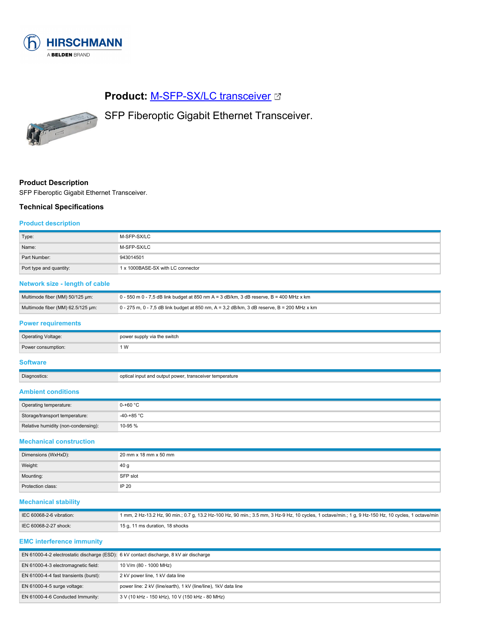

# **Product: [M-SFP-SX/LC transceiver](https://catalog.belden.com/index.cfm?event=pd&p=PF_943014501&tab=downloads) @**

SFP Fiberoptic Gigabit Ethernet Transceiver.



### **Product Description**

SFP Fiberoptic Gigabit Ethernet Transceiver.

### **Technical Specifications**

#### **Product description**

| Type:                   | M-SFP-SX/LC                       |
|-------------------------|-----------------------------------|
| Name:                   | M-SFP-SX/LC                       |
| Part Number:            | 943014501                         |
| Port type and quantity: | 1 x 1000BASE-SX with LC connector |

## **Network size - length of cable**

| Multimode fiber (MM) 50/125 um:   | 0 - 550 m 0 - 7,5 dB link budget at 850 nm A = 3 dB/km, 3 dB reserve, B = 400 MHz x km     |
|-----------------------------------|--------------------------------------------------------------------------------------------|
| Multimode fiber (MM) 62.5/125 um: | 0 - 275 m, 0 - 7,5 dB link budget at 850 nm, A = 3,2 dB/km, 3 dB reserve, B = 200 MHz x km |

## **Power requirements**

| <b>Operating Voltage:</b> | power supply via the switch |
|---------------------------|-----------------------------|
| Power consumption:        | ۱W                          |
|                           |                             |

## **Software**

| Diagnostics: | optical input and output power, transceiver temperature |
|--------------|---------------------------------------------------------|
|              |                                                         |

## **Ambient conditions**

| Operating temperature:              | $0-+60 °C$   |
|-------------------------------------|--------------|
| Storage/transport temperature:      | $-40-+85$ °C |
| Relative humidity (non-condensing): | 10-95 %      |

#### **Mechanical construction**

| Dimensions (WxHxD): | 20 mm x 18 mm x 50 mm |
|---------------------|-----------------------|
| Weight:             | 40 <sub>g</sub>       |
| Mounting:           | SFP slot              |
| Protection class:   | IP 20                 |

#### **Mechanical stability**

| IEC 60068-2-6 vibration: | 1 mm, 2 Hz-13.2 Hz, 90 min.; 0.7 g, 13.2 Hz-100 Hz, 90 min.; 3.5 mm, 3 Hz-9 Hz, 10 cycles, 1 octave/min.; 1 g, 9 Hz-150 Hz, 10 cycles, 1 octave/min |
|--------------------------|-----------------------------------------------------------------------------------------------------------------------------------------------------|
| IEC 60068-2-27 shock:    | 15 g, 11 ms duration, 18 shocks                                                                                                                     |

### **EMC interference immunity**

| EN 61000-4-2 electrostatic discharge (ESD): 6 kV contact discharge, 8 kV air discharge |                                                                 |
|----------------------------------------------------------------------------------------|-----------------------------------------------------------------|
| EN 61000-4-3 electromagnetic field:                                                    | 10 V/m (80 - 1000 MHz)                                          |
| EN 61000-4-4 fast transients (burst):                                                  | 2 kV power line, 1 kV data line                                 |
| EN $61000-4-5$ surge voltage:                                                          | power line: 2 kV (line/earth), 1 kV (line/line), 1 kV data line |
| EN 61000-4-6 Conducted Immunity:                                                       | 3 V (10 kHz - 150 kHz), 10 V (150 kHz - 80 MHz)                 |